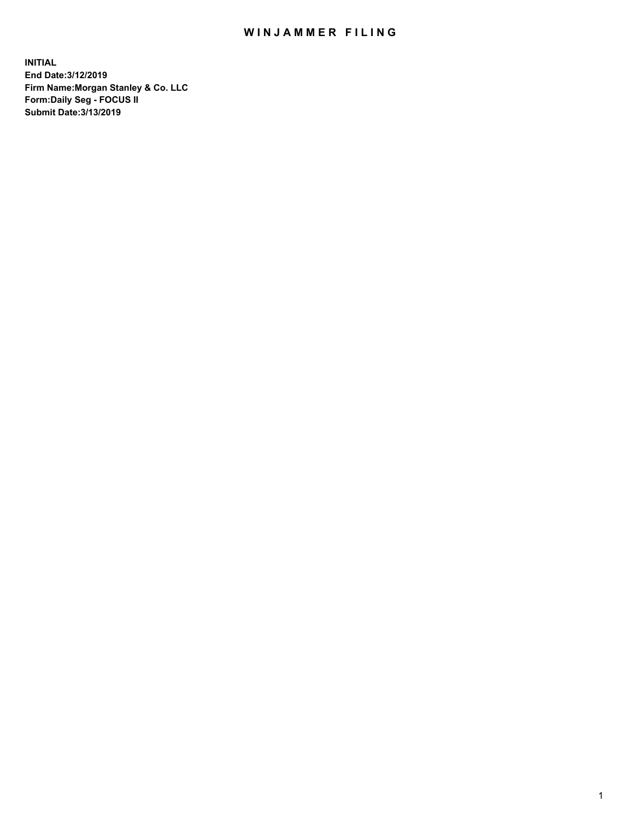## WIN JAMMER FILING

**INITIAL End Date:3/12/2019 Firm Name:Morgan Stanley & Co. LLC Form:Daily Seg - FOCUS II Submit Date:3/13/2019**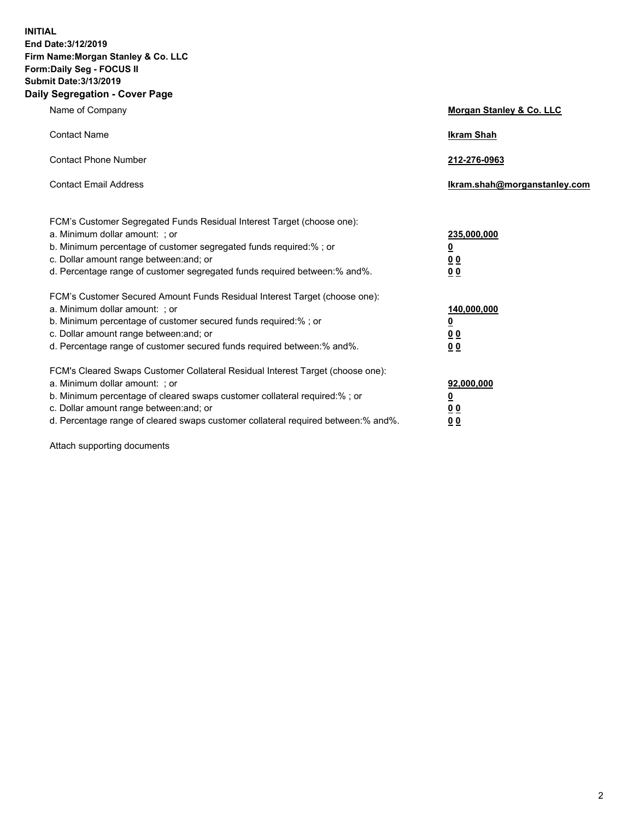**INITIAL End Date:3/12/2019 Firm Name:Morgan Stanley & Co. LLC Form:Daily Seg - FOCUS II Submit Date:3/13/2019 Daily Segregation - Cover Page**

| Name of Company                                                                                                                                                                                                                                                                                                                | Morgan Stanley & Co. LLC                               |
|--------------------------------------------------------------------------------------------------------------------------------------------------------------------------------------------------------------------------------------------------------------------------------------------------------------------------------|--------------------------------------------------------|
| <b>Contact Name</b>                                                                                                                                                                                                                                                                                                            | <b>Ikram Shah</b>                                      |
| <b>Contact Phone Number</b>                                                                                                                                                                                                                                                                                                    | 212-276-0963                                           |
| <b>Contact Email Address</b>                                                                                                                                                                                                                                                                                                   | Ikram.shah@morganstanley.com                           |
| FCM's Customer Segregated Funds Residual Interest Target (choose one):<br>a. Minimum dollar amount: ; or<br>b. Minimum percentage of customer segregated funds required:% ; or<br>c. Dollar amount range between: and; or<br>d. Percentage range of customer segregated funds required between:% and%.                         | 235,000,000<br><u>0</u><br><u>0 0</u><br>0 Q           |
| FCM's Customer Secured Amount Funds Residual Interest Target (choose one):<br>a. Minimum dollar amount: ; or<br>b. Minimum percentage of customer secured funds required:%; or<br>c. Dollar amount range between: and; or<br>d. Percentage range of customer secured funds required between:% and%.                            | 140,000,000<br><u>0</u><br><u>00</u><br>0 <sub>0</sub> |
| FCM's Cleared Swaps Customer Collateral Residual Interest Target (choose one):<br>a. Minimum dollar amount: ; or<br>b. Minimum percentage of cleared swaps customer collateral required:% ; or<br>c. Dollar amount range between: and; or<br>d. Percentage range of cleared swaps customer collateral required between:% and%. | 92,000,000<br><u>0</u><br><u>00</u><br>0 <sub>0</sub>  |

Attach supporting documents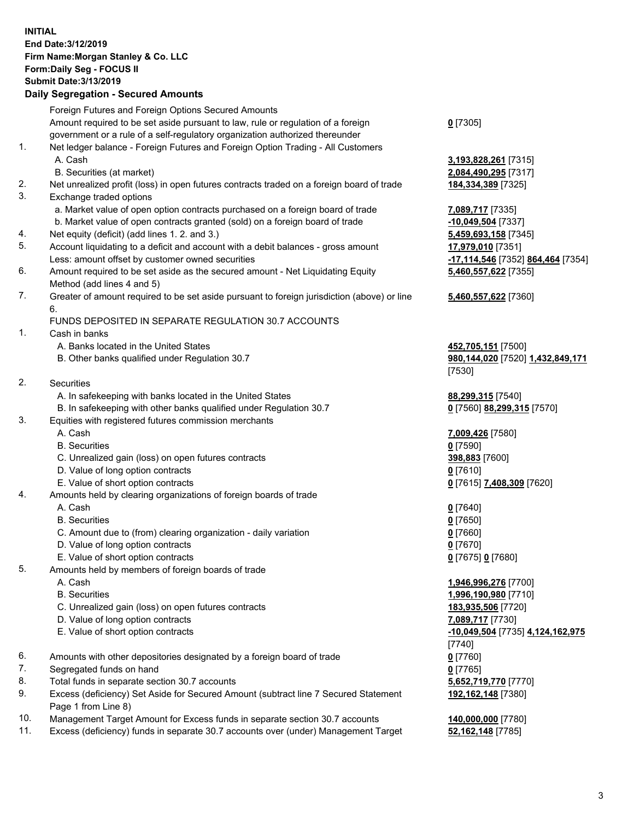## **INITIAL End Date:3/12/2019 Firm Name:Morgan Stanley & Co. LLC Form:Daily Seg - FOCUS II Submit Date:3/13/2019 Daily Segregation - Secured Amounts**

|                | Foreign Futures and Foreign Options Secured Amounts                                         |                                              |
|----------------|---------------------------------------------------------------------------------------------|----------------------------------------------|
|                | Amount required to be set aside pursuant to law, rule or regulation of a foreign            | $0$ [7305]                                   |
|                | government or a rule of a self-regulatory organization authorized thereunder                |                                              |
| 1.             | Net ledger balance - Foreign Futures and Foreign Option Trading - All Customers             |                                              |
|                | A. Cash                                                                                     | 3,193,828,261 [731                           |
|                | B. Securities (at market)                                                                   | 2,084,490,295 [731                           |
| 2.             | Net unrealized profit (loss) in open futures contracts traded on a foreign board of trade   | 184,334,389 [7325]                           |
| 3.             | Exchange traded options                                                                     |                                              |
|                | a. Market value of open option contracts purchased on a foreign board of trade              | 7,089,717 [7335]                             |
|                | b. Market value of open contracts granted (sold) on a foreign board of trade                | -10,049,504 [7337]                           |
| 4.             | Net equity (deficit) (add lines 1.2. and 3.)                                                | 5,459,693,158 [734                           |
| 5.             | Account liquidating to a deficit and account with a debit balances - gross amount           | 17,979,010 [7351]                            |
|                | Less: amount offset by customer owned securities                                            | -17,114,546 <sup>[7352]</sup>                |
| 6.             | Amount required to be set aside as the secured amount - Net Liquidating Equity              | 5,460,557,622 [735                           |
|                | Method (add lines 4 and 5)                                                                  |                                              |
| 7.             | Greater of amount required to be set aside pursuant to foreign jurisdiction (above) or line | 5,460,557,622 [736                           |
|                | 6.                                                                                          |                                              |
|                | FUNDS DEPOSITED IN SEPARATE REGULATION 30.7 ACCOUNTS                                        |                                              |
| 1.             | Cash in banks                                                                               |                                              |
|                | A. Banks located in the United States                                                       | 452,705,151 [7500]                           |
|                | B. Other banks qualified under Regulation 30.7                                              | 980,144,020 [7520]                           |
|                |                                                                                             | [7530]                                       |
| 2.             | Securities                                                                                  |                                              |
|                | A. In safekeeping with banks located in the United States                                   | 88,299,315 [7540]                            |
|                | B. In safekeeping with other banks qualified under Regulation 30.7                          | 0 [7560] 88,299,31                           |
| 3.             | Equities with registered futures commission merchants                                       |                                              |
|                | A. Cash                                                                                     | 7,009,426 [7580]                             |
|                | <b>B.</b> Securities                                                                        | $0$ [7590]                                   |
|                | C. Unrealized gain (loss) on open futures contracts                                         | 398,883 [7600]                               |
|                | D. Value of long option contracts                                                           | $0$ [7610]                                   |
| 4.             | E. Value of short option contracts                                                          | 0 [7615] 7,408,309                           |
|                | Amounts held by clearing organizations of foreign boards of trade<br>A. Cash                | $0$ [7640]                                   |
|                | <b>B.</b> Securities                                                                        | $0$ [7650]                                   |
|                | C. Amount due to (from) clearing organization - daily variation                             | $0$ [7660]                                   |
|                | D. Value of long option contracts                                                           | $0$ [7670]                                   |
|                | E. Value of short option contracts                                                          | 0 [7675] 0 [7680]                            |
| 5.             | Amounts held by members of foreign boards of trade                                          |                                              |
|                | A. Cash                                                                                     | 1,946,996,276 [770                           |
|                | <b>B.</b> Securities                                                                        | 1,996,190,980 [771                           |
|                | C. Unrealized gain (loss) on open futures contracts                                         | 183,935,506 [7720]                           |
|                | D. Value of long option contracts                                                           | 7,089,717 [7730]                             |
|                | E. Value of short option contracts                                                          | $-10,049,504$ [7735]                         |
|                |                                                                                             | [7740]                                       |
| 6.             | Amounts with other depositories designated by a foreign board of trade                      | $0$ [7760]                                   |
| 7.             | Segregated funds on hand                                                                    | $0$ [7765]                                   |
| 8.             | Total funds in separate section 30.7 accounts                                               | 5,652,719,770 [777                           |
| 9.             | Excess (deficiency) Set Aside for Secured Amount (subtract line 7 Secured Statement         | 192,162,148 [7380]                           |
|                | Page 1 from Line 8)                                                                         |                                              |
| $\overline{A}$ | .<br>A Australia for Frieder from the composite on                                          | $\overline{110}$ and and $\overline{177001}$ |

- 10. Management Target Amount for Excess funds in separate section 30.7 accounts **140,000,000** [7780]
- 11. Excess (deficiency) funds in separate 30.7 accounts over (under) Management Target **52,162,148** [7785]

 A. Cash **3,193,828,261** [7315] **890,295** [7317]

<mark>9,504</mark> [7337] <mark>393,158</mark> [7345] Less: amount offset by customer owned securities **-17,114,546** [7352] **864,464** [7354] **557,622** [7355]

## **557,622** [7360]

**5,151** [7500] 8. **4. 020** [7520] **1.432,849,171** 

B. 299,315 [7570]

E. Value of short option contracts **0** [7615] **7,408,309** [7620]

 A. Cash **1,946,996,276** [7700] B. Securities **1,996,190,980** [7710] **5,506** [7720] E. Value of short option contracts **-10,049,504** [7735] **4,124,162,975** <mark>8. 19,770</mark> [7770] **192,162,148** [7380]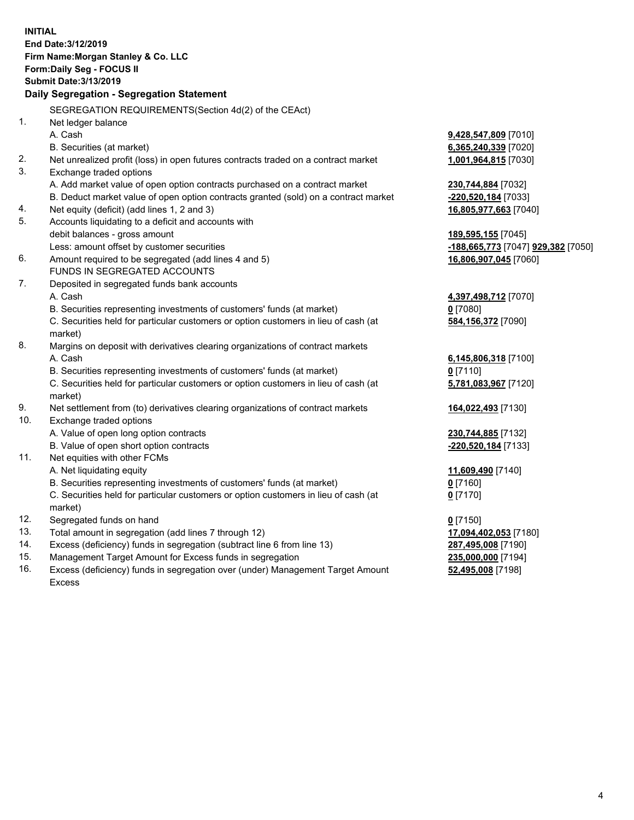**INITIAL End Date:3/12/2019 Firm Name:Morgan Stanley & Co. LLC Form:Daily Seg - FOCUS II Submit Date:3/13/2019 Daily Segregation - Segregation Statement** SEGREGATION REQUIREMENTS(Section 4d(2) of the CEAct) 1. Net ledger balance A. Cash **9,428,547,809** [7010] B. Securities (at market) **6,365,240,339** [7020] 2. Net unrealized profit (loss) in open futures contracts traded on a contract market **1,001,964,815** [7030] 3. Exchange traded options A. Add market value of open option contracts purchased on a contract market **230,744,884** [7032] B. Deduct market value of open option contracts granted (sold) on a contract market **-220,520,184** [7033] 4. Net equity (deficit) (add lines 1, 2 and 3) **16,805,977,663** [7040] 5. Accounts liquidating to a deficit and accounts with debit balances - gross amount **189,595,155** [7045] Less: amount offset by customer securities **-188,665,773** [7047] **929,382** [7050] 6. Amount required to be segregated (add lines 4 and 5) **16,806,907,045** [7060] FUNDS IN SEGREGATED ACCOUNTS 7. Deposited in segregated funds bank accounts A. Cash **4,397,498,712** [7070] B. Securities representing investments of customers' funds (at market) **0** [7080] C. Securities held for particular customers or option customers in lieu of cash (at market) **584,156,372** [7090] 8. Margins on deposit with derivatives clearing organizations of contract markets A. Cash **6,145,806,318** [7100] B. Securities representing investments of customers' funds (at market) **0** [7110] C. Securities held for particular customers or option customers in lieu of cash (at market) **5,781,083,967** [7120] 9. Net settlement from (to) derivatives clearing organizations of contract markets **164,022,493** [7130] 10. Exchange traded options A. Value of open long option contracts **230,744,885** [7132] B. Value of open short option contracts **-220,520,184** [7133] 11. Net equities with other FCMs A. Net liquidating equity **11,609,490** [7140] B. Securities representing investments of customers' funds (at market) **0** [7160] C. Securities held for particular customers or option customers in lieu of cash (at market) **0** [7170] 12. Segregated funds on hand **0** [7150] 13. Total amount in segregation (add lines 7 through 12) **17,094,402,053** [7180] 14. Excess (deficiency) funds in segregation (subtract line 6 from line 13) **287,495,008** [7190] 15. Management Target Amount for Excess funds in segregation **235,000,000** [7194]

16. Excess (deficiency) funds in segregation over (under) Management Target Amount Excess

**52,495,008** [7198]